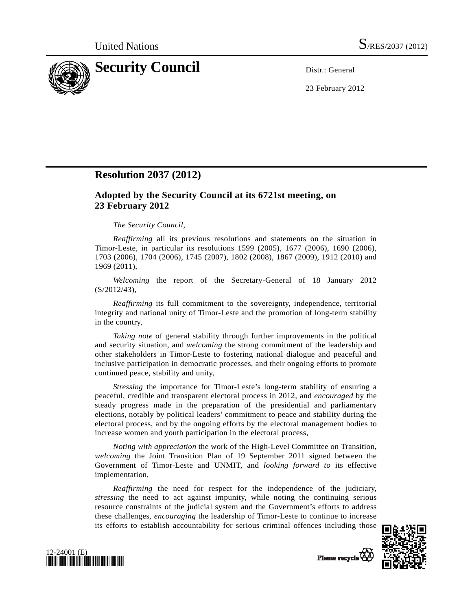

23 February 2012

## **Resolution 2037 (2012)**

## **Adopted by the Security Council at its 6721st meeting, on 23 February 2012**

## *The Security Council*,

*Reaffirming* all its previous resolutions and statements on the situation in Timor-Leste, in particular its resolutions 1599 (2005), 1677 (2006), 1690 (2006), 1703 (2006), 1704 (2006), 1745 (2007), 1802 (2008), 1867 (2009), 1912 (2010) and 1969 (2011),

*Welcoming* the report of the Secretary-General of 18 January 2012 (S/2012/43),

*Reaffirming* its full commitment to the sovereignty, independence, territorial integrity and national unity of Timor-Leste and the promotion of long-term stability in the country,

*Taking note* of general stability through further improvements in the political and security situation, and *welcoming* the strong commitment of the leadership and other stakeholders in Timor-Leste to fostering national dialogue and peaceful and inclusive participation in democratic processes, and their ongoing efforts to promote continued peace, stability and unity,

 *Stressing* the importance for Timor-Leste's long-term stability of ensuring a peaceful, credible and transparent electoral process in 2012, and *encouraged* by the steady progress made in the preparation of the presidential and parliamentary elections, notably by political leaders' commitment to peace and stability during the electoral process, and by the ongoing efforts by the electoral management bodies to increase women and youth participation in the electoral process,

*Noting with appreciation* the work of the High-Level Committee on Transition, *welcoming* the Joint Transition Plan of 19 September 2011 signed between the Government of Timor-Leste and UNMIT, and *looking forward to* its effective implementation,

*Reaffirming* the need for respect for the independence of the judiciary, *stressing* the need to act against impunity, while noting the continuing serious resource constraints of the judicial system and the Government's efforts to address these challenges, *encouraging* the leadership of Timor-Leste to continue to increase its efforts to establish accountability for serious criminal offences including those





Please recycle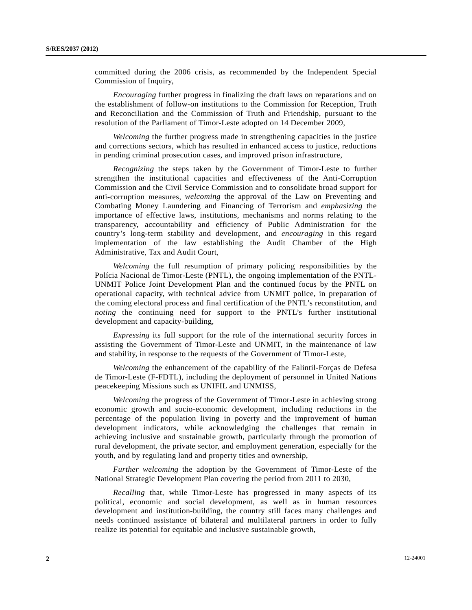committed during the 2006 crisis, as recommended by the Independent Special Commission of Inquiry,

*Encouraging* further progress in finalizing the draft laws on reparations and on the establishment of follow-on institutions to the Commission for Reception, Truth and Reconciliation and the Commission of Truth and Friendship, pursuant to the resolution of the Parliament of Timor-Leste adopted on 14 December 2009,

*Welcoming* the further progress made in strengthening capacities in the justice and corrections sectors, which has resulted in enhanced access to justice, reductions in pending criminal prosecution cases, and improved prison infrastructure,

*Recognizing* the steps taken by the Government of Timor-Leste to further strengthen the institutional capacities and effectiveness of the Anti-Corruption Commission and the Civil Service Commission and to consolidate broad support for anti-corruption measures, *welcoming* the approval of the Law on Preventing and Combating Money Laundering and Financing of Terrorism and *emphasizing* the importance of effective laws, institutions, mechanisms and norms relating to the transparency, accountability and efficiency of Public Administration for the country's long-term stability and development, and *encouraging* in this regard implementation of the law establishing the Audit Chamber of the High Administrative, Tax and Audit Court,

*Welcoming* the full resumption of primary policing responsibilities by the Polícia Nacional de Timor-Leste (PNTL), the ongoing implementation of the PNTL-UNMIT Police Joint Development Plan and the continued focus by the PNTL on operational capacity, with technical advice from UNMIT police, in preparation of the coming electoral process and final certification of the PNTL's reconstitution, and *noting* the continuing need for support to the PNTL's further institutional development and capacity-building,

*Expressing* its full support for the role of the international security forces in assisting the Government of Timor-Leste and UNMIT, in the maintenance of law and stability, in response to the requests of the Government of Timor-Leste,

 *Welcoming* the enhancement of the capability of the Falintil-Forças de Defesa de Timor-Leste (F-FDTL), including the deployment of personnel in United Nations peacekeeping Missions such as UNIFIL and UNMISS,

*Welcoming* the progress of the Government of Timor-Leste in achieving strong economic growth and socio-economic development, including reductions in the percentage of the population living in poverty and the improvement of human development indicators, while acknowledging the challenges that remain in achieving inclusive and sustainable growth, particularly through the promotion of rural development, the private sector, and employment generation, especially for the youth, and by regulating land and property titles and ownership,

*Further welcoming* the adoption by the Government of Timor-Leste of the National Strategic Development Plan covering the period from 2011 to 2030,

*Recalling* that, while Timor-Leste has progressed in many aspects of its political, economic and social development, as well as in human resources development and institution-building, the country still faces many challenges and needs continued assistance of bilateral and multilateral partners in order to fully realize its potential for equitable and inclusive sustainable growth,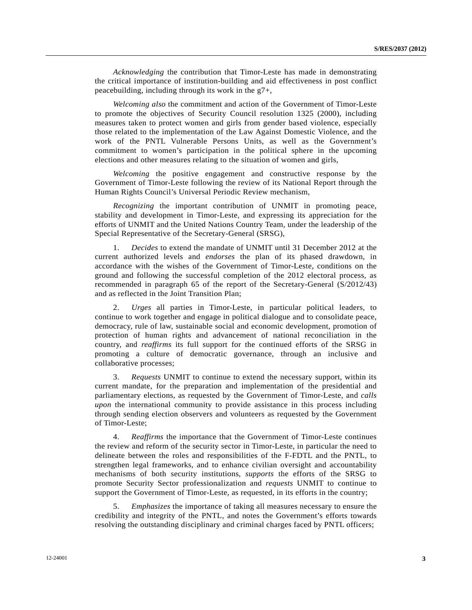*Acknowledging* the contribution that Timor-Leste has made in demonstrating the critical importance of institution-building and aid effectiveness in post conflict peacebuilding, including through its work in the g7+,

 *Welcoming also* the commitment and action of the Government of Timor-Leste to promote the objectives of Security Council resolution 1325 (2000), including measures taken to protect women and girls from gender based violence, especially those related to the implementation of the Law Against Domestic Violence, and the work of the PNTL Vulnerable Persons Units, as well as the Government's commitment to women's participation in the political sphere in the upcoming elections and other measures relating to the situation of women and girls,

 *Welcoming* the positive engagement and constructive response by the Government of Timor-Leste following the review of its National Report through the Human Rights Council's Universal Periodic Review mechanism,

*Recognizing* the important contribution of UNMIT in promoting peace, stability and development in Timor-Leste, and expressing its appreciation for the efforts of UNMIT and the United Nations Country Team, under the leadership of the Special Representative of the Secretary-General (SRSG),

 1. *Decides* to extend the mandate of UNMIT until 31 December 2012 at the current authorized levels and *endorses* the plan of its phased drawdown, in accordance with the wishes of the Government of Timor-Leste, conditions on the ground and following the successful completion of the 2012 electoral process, as recommended in paragraph 65 of the report of the Secretary-General (S/2012/43) and as reflected in the Joint Transition Plan;

 2. *Urges* all parties in Timor-Leste, in particular political leaders, to continue to work together and engage in political dialogue and to consolidate peace, democracy, rule of law, sustainable social and economic development, promotion of protection of human rights and advancement of national reconciliation in the country, and *reaffirms* its full support for the continued efforts of the SRSG in promoting a culture of democratic governance, through an inclusive and collaborative processes;

 3. *Requests* UNMIT to continue to extend the necessary support, within its current mandate, for the preparation and implementation of the presidential and parliamentary elections, as requested by the Government of Timor-Leste, and *calls upon* the international community to provide assistance in this process including through sending election observers and volunteers as requested by the Government of Timor-Leste;

 4. *Reaffirms* the importance that the Government of Timor-Leste continues the review and reform of the security sector in Timor-Leste, in particular the need to delineate between the roles and responsibilities of the F-FDTL and the PNTL, to strengthen legal frameworks, and to enhance civilian oversight and accountability mechanisms of both security institutions, *supports* the efforts of the SRSG to promote Security Sector professionalization and *requests* UNMIT to continue to support the Government of Timor-Leste, as requested, in its efforts in the country;

 5. *Emphasizes* the importance of taking all measures necessary to ensure the credibility and integrity of the PNTL, and notes the Government's efforts towards resolving the outstanding disciplinary and criminal charges faced by PNTL officers;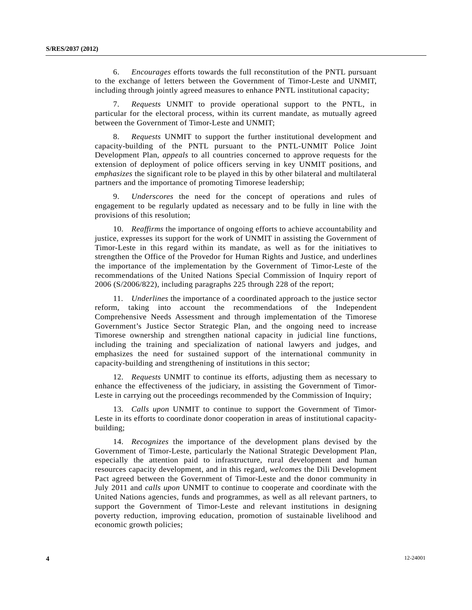6. *Encourages* efforts towards the full reconstitution of the PNTL pursuant to the exchange of letters between the Government of Timor-Leste and UNMIT, including through jointly agreed measures to enhance PNTL institutional capacity;

 7. *Requests* UNMIT to provide operational support to the PNTL, in particular for the electoral process, within its current mandate, as mutually agreed between the Government of Timor-Leste and UNMIT;

 8. *Requests* UNMIT to support the further institutional development and capacity-building of the PNTL pursuant to the PNTL-UNMIT Police Joint Development Plan, *appeals* to all countries concerned to approve requests for the extension of deployment of police officers serving in key UNMIT positions, and *emphasizes* the significant role to be played in this by other bilateral and multilateral partners and the importance of promoting Timorese leadership;

 9. *Underscores* the need for the concept of operations and rules of engagement to be regularly updated as necessary and to be fully in line with the provisions of this resolution;

 10. *Reaffirms* the importance of ongoing efforts to achieve accountability and justice, expresses its support for the work of UNMIT in assisting the Government of Timor-Leste in this regard within its mandate, as well as for the initiatives to strengthen the Office of the Provedor for Human Rights and Justice, and underlines the importance of the implementation by the Government of Timor-Leste of the recommendations of the United Nations Special Commission of Inquiry report of 2006 (S/2006/822), including paragraphs 225 through 228 of the report;

 11. *Underlines* the importance of a coordinated approach to the justice sector reform, taking into account the recommendations of the Independent Comprehensive Needs Assessment and through implementation of the Timorese Government's Justice Sector Strategic Plan, and the ongoing need to increase Timorese ownership and strengthen national capacity in judicial line functions, including the training and specialization of national lawyers and judges, and emphasizes the need for sustained support of the international community in capacity-building and strengthening of institutions in this sector;

 12. *Requests* UNMIT to continue its efforts, adjusting them as necessary to enhance the effectiveness of the judiciary, in assisting the Government of Timor-Leste in carrying out the proceedings recommended by the Commission of Inquiry;

 13. *Calls upon* UNMIT to continue to support the Government of Timor-Leste in its efforts to coordinate donor cooperation in areas of institutional capacitybuilding;

 14. *Recognizes* the importance of the development plans devised by the Government of Timor-Leste, particularly the National Strategic Development Plan, especially the attention paid to infrastructure, rural development and human resources capacity development, and in this regard, *welcomes* the Dili Development Pact agreed between the Government of Timor-Leste and the donor community in July 2011 and *calls upon* UNMIT to continue to cooperate and coordinate with the United Nations agencies, funds and programmes, as well as all relevant partners, to support the Government of Timor-Leste and relevant institutions in designing poverty reduction, improving education, promotion of sustainable livelihood and economic growth policies;